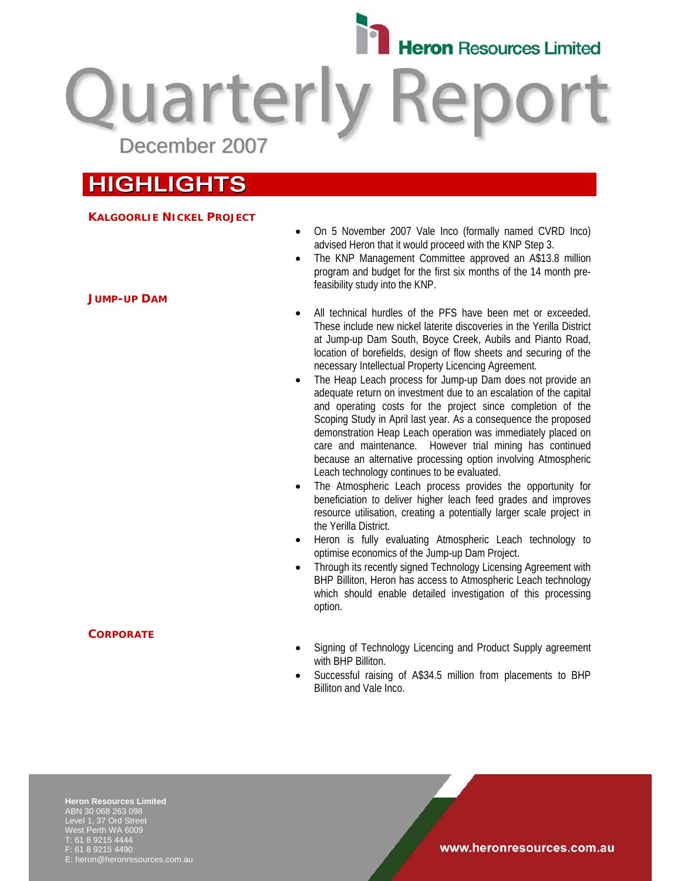

**Quarterly Reparate** December 2007

# **HIGHLIGHTS**

# **KALGOORLIE NICKEL PROJECT**

- On 5 November 2007 Vale Inco (formally named CVRD Inco) advised Heron that it would proceed with the KNP Step 3.
- The KNP Management Committee approved an A\$13.8 million program and budget for the first six months of the 14 month prefeasibility study into the KNP.
- All technical hurdles of the PFS have been met or exceeded. These include new nickel laterite discoveries in the Yerilla District at Jump-up Dam South, Boyce Creek, Aubils and Pianto Road, location of borefields, design of flow sheets and securing of the necessary Intellectual Property Licencing Agreement.
- The Heap Leach process for Jump-up Dam does not provide an adequate return on investment due to an escalation of the capital and operating costs for the project since completion of the Scoping Study in April last year. As a consequence the proposed demonstration Heap Leach operation was immediately placed on care and maintenance. However trial mining has continued because an alternative processing option involving Atmospheric Leach technology continues to be evaluated.
- The Atmospheric Leach process provides the opportunity for beneficiation to deliver higher leach feed grades and improves resource utilisation, creating a potentially larger scale project in the Yerilla District.
- Heron is fully evaluating Atmospheric Leach technology to optimise economics of the Jump-up Dam Project.
- Through its recently signed Technology Licensing Agreement with BHP Billiton, Heron has access to Atmospheric Leach technology which should enable detailed investigation of this processing option.
- Signing of Technology Licencing and Product Supply agreement with BHP Billiton.
- Successful raising of A\$34.5 million from placements to BHP Billiton and Vale Inco.

**Heron Resources Limited**  ABN 30 068 263 098 Level 1, 37 Ord Street West Perth WA 6009 T: 61 8 9215 4444 F: 61 8 9215 4490 E: heron@heronresources.com.au

### **JUMP-UP DAM**

### **CORPORATE**

www.heronresources.com.au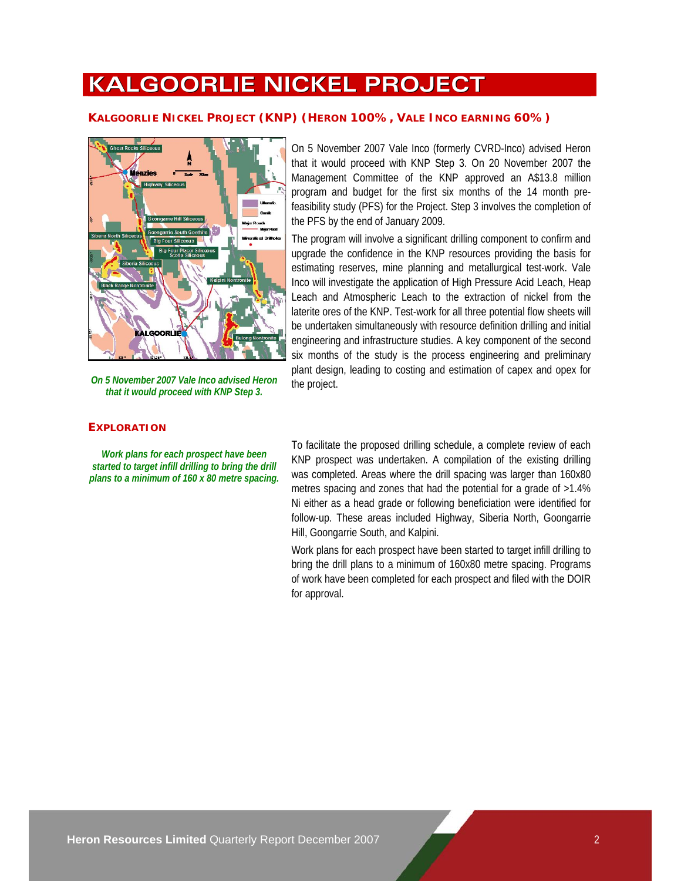# **KALGOORLIE NICKEL PROJECT**

# **KALGOORLIE NICKEL PROJECT (KNP) (HERON 100%, VALE INCO EARNING 60%)**



*On 5 November 2007 Vale Inco advised Heron that it would proceed with KNP Step 3.* 

### **EXPLORATION**

*Work plans for each prospect have been started to target infill drilling to bring the drill plans to a minimum of 160 x 80 metre spacing.* 

On 5 November 2007 Vale Inco (formerly CVRD-Inco) advised Heron that it would proceed with KNP Step 3. On 20 November 2007 the Management Committee of the KNP approved an A\$13.8 million program and budget for the first six months of the 14 month prefeasibility study (PFS) for the Project. Step 3 involves the completion of the PFS by the end of January 2009.

The program will involve a significant drilling component to confirm and upgrade the confidence in the KNP resources providing the basis for estimating reserves, mine planning and metallurgical test-work. Vale Inco will investigate the application of High Pressure Acid Leach, Heap Leach and Atmospheric Leach to the extraction of nickel from the laterite ores of the KNP. Test-work for all three potential flow sheets will be undertaken simultaneously with resource definition drilling and initial engineering and infrastructure studies. A key component of the second six months of the study is the process engineering and preliminary plant design, leading to costing and estimation of capex and opex for the project.

To facilitate the proposed drilling schedule, a complete review of each KNP prospect was undertaken. A compilation of the existing drilling was completed. Areas where the drill spacing was larger than 160x80 metres spacing and zones that had the potential for a grade of >1.4% Ni either as a head grade or following beneficiation were identified for follow-up. These areas included Highway, Siberia North, Goongarrie Hill, Goongarrie South, and Kalpini.

Work plans for each prospect have been started to target infill drilling to bring the drill plans to a minimum of 160x80 metre spacing. Programs of work have been completed for each prospect and filed with the DOIR for approval.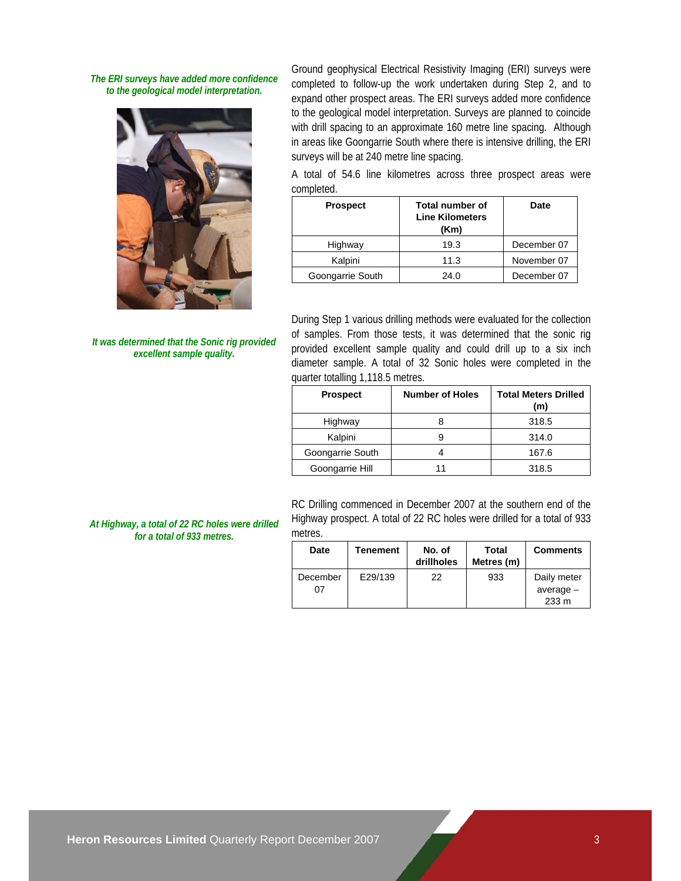*The ERI surveys have added more confidence to the geological model interpretation.* 



*It was determined that the Sonic rig provided excellent sample quality.* 

Ground geophysical Electrical Resistivity Imaging (ERI) surveys were completed to follow-up the work undertaken during Step 2, and to expand other prospect areas. The ERI surveys added more confidence to the geological model interpretation. Surveys are planned to coincide with drill spacing to an approximate 160 metre line spacing. Although in areas like Goongarrie South where there is intensive drilling, the ERI surveys will be at 240 metre line spacing.

A total of 54.6 line kilometres across three prospect areas were completed.

| <b>Prospect</b>  | Total number of<br><b>Line Kilometers</b><br>(Km) | Date        |
|------------------|---------------------------------------------------|-------------|
| Highway          | 19.3                                              | December 07 |
| Kalpini          | 11.3                                              | November 07 |
| Goongarrie South | 24.0                                              | December 07 |

During Step 1 various drilling methods were evaluated for the collection of samples. From those tests, it was determined that the sonic rig provided excellent sample quality and could drill up to a six inch diameter sample. A total of 32 Sonic holes were completed in the quarter totalling 1,118.5 metres.

| <b>Prospect</b>  | <b>Number of Holes</b> | <b>Total Meters Drilled</b><br>(m) |
|------------------|------------------------|------------------------------------|
| Highway          |                        | 318.5                              |
| Kalpini          |                        | 314.0                              |
| Goongarrie South |                        | 167.6                              |
| Goongarrie Hill  |                        | 318.5                              |

RC Drilling commenced in December 2007 at the southern end of the Highway prospect. A total of 22 RC holes were drilled for a total of 933 metres.

| Date           | Tenement | No. of<br>drillholes | Total<br>Metres (m) | <b>Comments</b>                     |
|----------------|----------|----------------------|---------------------|-------------------------------------|
| December<br>07 | E29/139  | 22                   | 933                 | Daily meter<br>$average -$<br>233 m |

*At Highway, a total of 22 RC holes were drilled for a total of 933 metres.*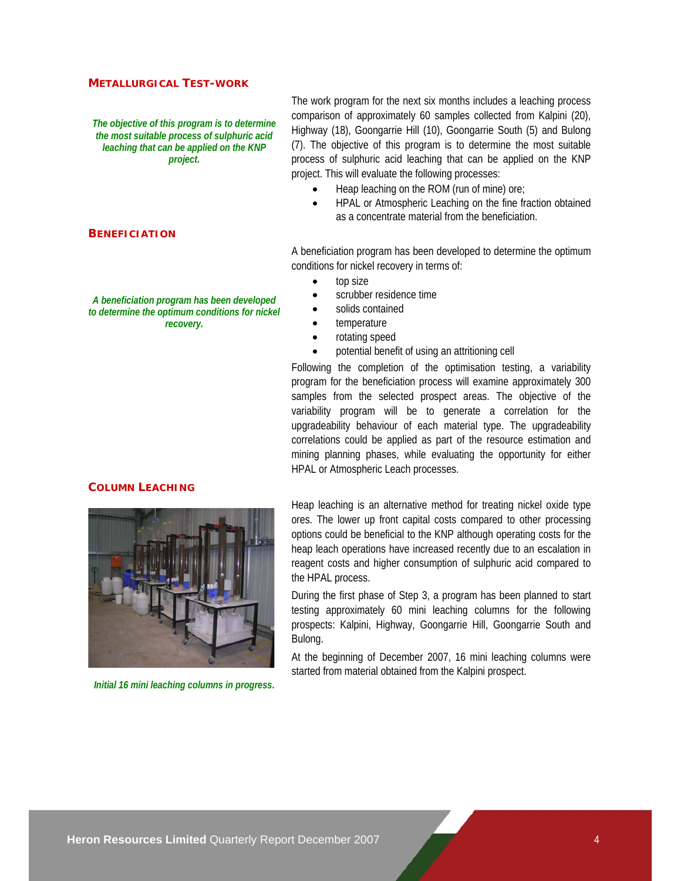### **METALLURGICAL TEST-WORK**

*The objective of this program is to determine the most suitable process of sulphuric acid leaching that can be applied on the KNP project.* 

The work program for the next six months includes a leaching process comparison of approximately 60 samples collected from Kalpini (20), Highway (18), Goongarrie Hill (10), Goongarrie South (5) and Bulong (7). The objective of this program is to determine the most suitable process of sulphuric acid leaching that can be applied on the KNP project. This will evaluate the following processes:

- Heap leaching on the ROM (run of mine) ore;
- HPAL or Atmospheric Leaching on the fine fraction obtained as a concentrate material from the beneficiation.

A beneficiation program has been developed to determine the optimum conditions for nickel recovery in terms of:

- top size
- scrubber residence time
- solids contained
- temperature
- rotating speed
- potential benefit of using an attritioning cell

Following the completion of the optimisation testing, a variability program for the beneficiation process will examine approximately 300 samples from the selected prospect areas. The objective of the variability program will be to generate a correlation for the upgradeability behaviour of each material type. The upgradeability correlations could be applied as part of the resource estimation and mining planning phases, while evaluating the opportunity for either HPAL or Atmospheric Leach processes.

#### **COLUMN LEACHING**

**BENEFICIATION**



During the first phase of Step 3, a program has been planned to start testing approximately 60 mini leaching columns for the following prospects: Kalpini, Highway, Goongarrie Hill, Goongarrie South and Bulong.

At the beginning of December 2007, 16 mini leaching columns were started from material obtained from the Kalpini prospect.

*Initial 16 mini leaching columns in progress.* 

*A beneficiation program has been developed to determine the optimum conditions for nickel recovery.* 

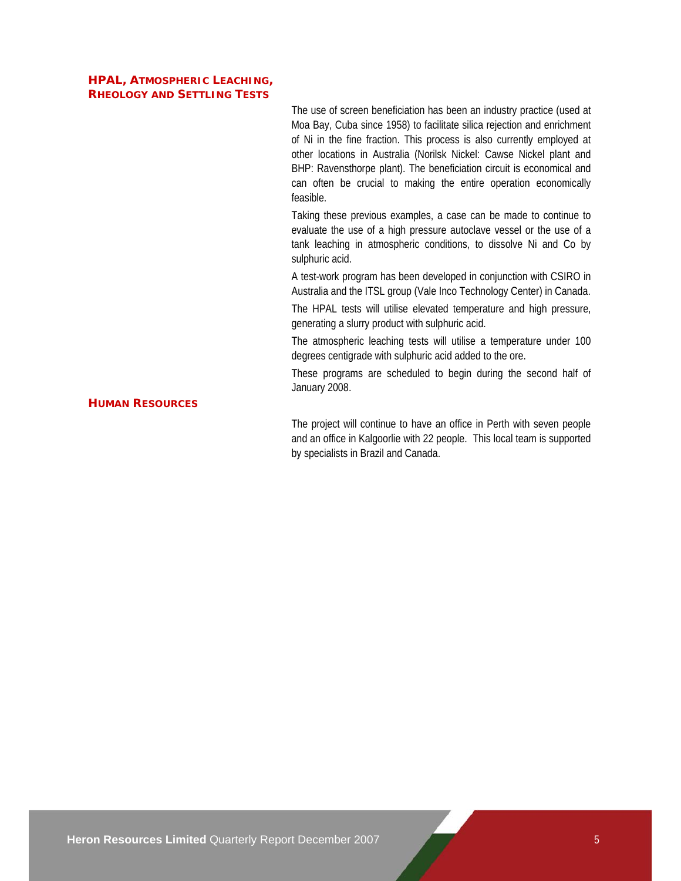# **HPAL, ATMOSPHERIC LEACHING, RHEOLOGY AND SETTLING TESTS**

The use of screen beneficiation has been an industry practice (used at Moa Bay, Cuba since 1958) to facilitate silica rejection and enrichment of Ni in the fine fraction. This process is also currently employed at other locations in Australia (Norilsk Nickel: Cawse Nickel plant and BHP: Ravensthorpe plant). The beneficiation circuit is economical and can often be crucial to making the entire operation economically feasible.

Taking these previous examples, a case can be made to continue to evaluate the use of a high pressure autoclave vessel or the use of a tank leaching in atmospheric conditions, to dissolve Ni and Co by sulphuric acid.

A test-work program has been developed in conjunction with CSIRO in Australia and the ITSL group (Vale Inco Technology Center) in Canada.

The HPAL tests will utilise elevated temperature and high pressure, generating a slurry product with sulphuric acid.

The atmospheric leaching tests will utilise a temperature under 100 degrees centigrade with sulphuric acid added to the ore.

These programs are scheduled to begin during the second half of January 2008.

# **HUMAN RESOURCES**

The project will continue to have an office in Perth with seven people and an office in Kalgoorlie with 22 people. This local team is supported by specialists in Brazil and Canada.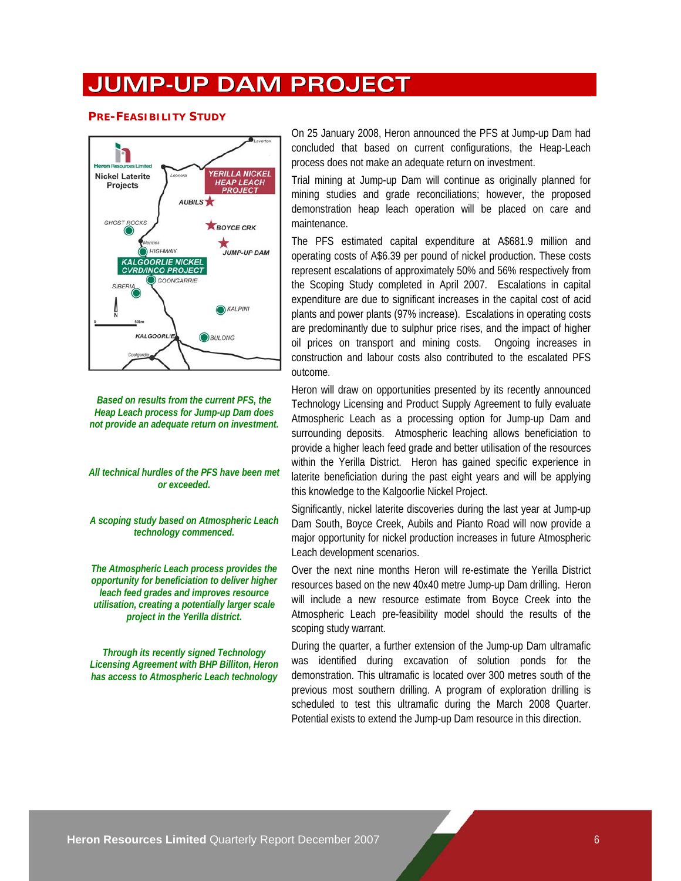# **JUMP-UP DAM PROJECT**

#### **PRE-FEASIBILITY STUDY**



*Based on results from the current PFS, the Heap Leach process for Jump-up Dam does not provide an adequate return on investment.* 

*All technical hurdles of the PFS have been met or exceeded.* 

*A scoping study based on Atmospheric Leach technology commenced.* 

*The Atmospheric Leach process provides the opportunity for beneficiation to deliver higher leach feed grades and improves resource utilisation, creating a potentially larger scale project in the Yerilla district.* 

*Through its recently signed Technology Licensing Agreement with BHP Billiton, Heron has access to Atmospheric Leach technology* 

On 25 January 2008, Heron announced the PFS at Jump-up Dam had concluded that based on current configurations, the Heap-Leach process does not make an adequate return on investment.

Trial mining at Jump-up Dam will continue as originally planned for mining studies and grade reconciliations; however, the proposed demonstration heap leach operation will be placed on care and maintenance.

The PFS estimated capital expenditure at A\$681.9 million and operating costs of A\$6.39 per pound of nickel production. These costs represent escalations of approximately 50% and 56% respectively from the Scoping Study completed in April 2007. Escalations in capital expenditure are due to significant increases in the capital cost of acid plants and power plants (97% increase). Escalations in operating costs are predominantly due to sulphur price rises, and the impact of higher oil prices on transport and mining costs. Ongoing increases in construction and labour costs also contributed to the escalated PFS outcome.

Heron will draw on opportunities presented by its recently announced Technology Licensing and Product Supply Agreement to fully evaluate Atmospheric Leach as a processing option for Jump-up Dam and surrounding deposits. Atmospheric leaching allows beneficiation to provide a higher leach feed grade and better utilisation of the resources within the Yerilla District. Heron has gained specific experience in laterite beneficiation during the past eight years and will be applying this knowledge to the Kalgoorlie Nickel Project.

Significantly, nickel laterite discoveries during the last year at Jump-up Dam South, Boyce Creek, Aubils and Pianto Road will now provide a major opportunity for nickel production increases in future Atmospheric Leach development scenarios.

Over the next nine months Heron will re-estimate the Yerilla District resources based on the new 40x40 metre Jump-up Dam drilling. Heron will include a new resource estimate from Boyce Creek into the Atmospheric Leach pre-feasibility model should the results of the scoping study warrant.

During the quarter, a further extension of the Jump-up Dam ultramafic was identified during excavation of solution ponds for the demonstration. This ultramafic is located over 300 metres south of the previous most southern drilling. A program of exploration drilling is scheduled to test this ultramafic during the March 2008 Quarter. Potential exists to extend the Jump-up Dam resource in this direction.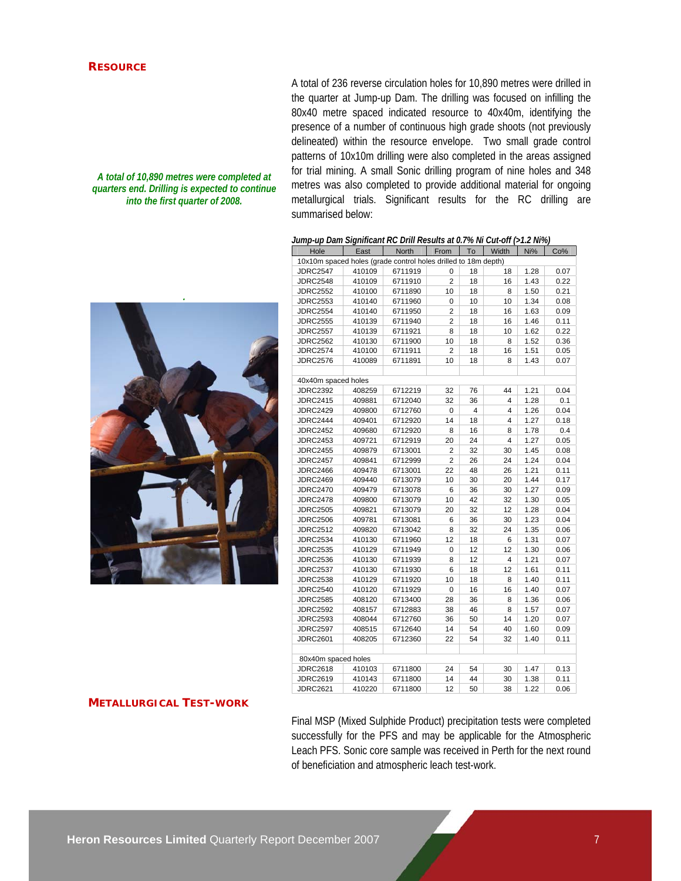## **RESOURCE**

#### *A total of 10,890 metres were completed at quarters end. Drilling is expected to continue into the first quarter of 2008.*



A total of 236 reverse circulation holes for 10,890 metres were drilled in the quarter at Jump-up Dam. The drilling was focused on infilling the 80x40 metre spaced indicated resource to 40x40m, identifying the presence of a number of continuous high grade shoots (not previously delineated) within the resource envelope. Two small grade control patterns of 10x10m drilling were also completed in the areas assigned for trial mining. A small Sonic drilling program of nine holes and 348 metres was also completed to provide additional material for ongoing metallurgical trials. Significant results for the RC drilling are summarised below:

#### *Jump-up Dam Significant RC Drill Results at 0.7% Ni Cut-off (>1.2 Ni%)*

| Hole                                                           | East   | <b>North</b> | From           | To | Width                   | Ni%  | Co%  |
|----------------------------------------------------------------|--------|--------------|----------------|----|-------------------------|------|------|
| 10x10m spaced holes (grade control holes drilled to 18m depth) |        |              |                |    |                         |      |      |
| <b>JDRC2547</b>                                                | 410109 | 6711919      | 0              | 18 | 18                      | 1.28 | 0.07 |
| <b>JDRC2548</b>                                                | 410109 | 6711910      | $\overline{2}$ | 18 | 16                      | 1.43 | 0.22 |
| <b>JDRC2552</b>                                                | 410100 | 6711890      | 10             | 18 | 8                       | 1.50 | 0.21 |
| <b>JDRC2553</b>                                                | 410140 | 6711960      | 0              | 10 | 10                      | 1.34 | 0.08 |
| <b>JDRC2554</b>                                                | 410140 | 6711950      | $\overline{2}$ | 18 | 16                      | 1.63 | 0.09 |
| <b>JDRC2555</b>                                                | 410139 | 6711940      | $\overline{2}$ | 18 | 16                      | 1.46 | 0.11 |
| <b>JDRC2557</b>                                                | 410139 | 6711921      | 8              | 18 | 10                      | 1.62 | 0.22 |
| <b>JDRC2562</b>                                                | 410130 | 6711900      | 10             | 18 | 8                       | 1.52 | 0.36 |
| <b>JDRC2574</b>                                                | 410100 | 6711911      | $\overline{2}$ | 18 | 16                      | 1.51 | 0.05 |
| <b>JDRC2576</b>                                                | 410089 | 6711891      | 10             | 18 | 8                       | 1.43 | 0.07 |
|                                                                |        |              |                |    |                         |      |      |
| 40x40m spaced holes                                            |        |              |                |    |                         |      |      |
| <b>JDRC2392</b>                                                | 408259 | 6712219      | 32             | 76 | 44                      | 1.21 | 0.04 |
| <b>JDRC2415</b>                                                | 409881 | 6712040      | 32             | 36 | $\overline{\mathbf{4}}$ | 1.28 | 0.1  |
| <b>JDRC2429</b>                                                | 409800 | 6712760      | 0              | 4  | 4                       | 1.26 | 0.04 |
| <b>JDRC2444</b>                                                | 409401 | 6712920      | 14             | 18 | 4                       | 1.27 | 0.18 |
| <b>JDRC2452</b>                                                | 409680 | 6712920      | 8              | 16 | 8                       | 1.78 | 0.4  |
| <b>JDRC2453</b>                                                | 409721 | 6712919      | 20             | 24 | 4                       | 1.27 | 0.05 |
| <b>JDRC2455</b>                                                | 409879 | 6713001      | 2              | 32 | 30                      | 1.45 | 0.08 |
| <b>JDRC2457</b>                                                | 409841 | 6712999      | $\overline{2}$ | 26 | 24                      | 1.24 | 0.04 |
| <b>JDRC2466</b>                                                | 409478 | 6713001      | 22             | 48 | 26                      | 1.21 | 0.11 |
| <b>JDRC2469</b>                                                | 409440 | 6713079      | 10             | 30 | 20                      | 1.44 | 0.17 |
| <b>JDRC2470</b>                                                | 409479 | 6713078      | 6              | 36 | 30                      | 1.27 | 0.09 |
| <b>JDRC2478</b>                                                | 409800 | 6713079      | 10             | 42 | 32                      | 1.30 | 0.05 |
| <b>JDRC2505</b>                                                | 409821 | 6713079      | 20             | 32 | 12                      | 1.28 | 0.04 |
| <b>JDRC2506</b>                                                | 409781 | 6713081      | 6              | 36 | 30                      | 1.23 | 0.04 |
| <b>JDRC2512</b>                                                | 409820 | 6713042      | 8              | 32 | 24                      | 1.35 | 0.06 |
| <b>JDRC2534</b>                                                | 410130 | 6711960      | 12             | 18 | 6                       | 1.31 | 0.07 |
| <b>JDRC2535</b>                                                | 410129 | 6711949      | 0              | 12 | 12                      | 1.30 | 0.06 |
| <b>JDRC2536</b>                                                | 410130 | 6711939      | 8              | 12 | 4                       | 1.21 | 0.07 |
| <b>JDRC2537</b>                                                | 410130 | 6711930      | 6              | 18 | 12                      | 1.61 | 0.11 |
| <b>JDRC2538</b>                                                | 410129 | 6711920      | 10             | 18 | 8                       | 1.40 | 0.11 |
| <b>JDRC2540</b>                                                | 410120 | 6711929      | 0              | 16 | 16                      | 1.40 | 0.07 |
| <b>JDRC2585</b>                                                | 408120 | 6713400      | 28             | 36 | 8                       | 1.36 | 0.06 |
| <b>JDRC2592</b>                                                | 408157 | 6712883      | 38             | 46 | 8                       | 1.57 | 0.07 |
| <b>JDRC2593</b>                                                | 408044 | 6712760      | 36             | 50 | 14                      | 1.20 | 0.07 |
| <b>JDRC2597</b>                                                | 408515 | 6712640      | 14             | 54 | 40                      | 1.60 | 0.09 |
| <b>JDRC2601</b>                                                | 408205 | 6712360      | 22             | 54 | 32                      | 1.40 | 0.11 |
|                                                                |        |              |                |    |                         |      |      |
| 80x40m spaced holes                                            |        |              |                |    |                         |      |      |
| <b>JDRC2618</b>                                                | 410103 | 6711800      | 24             | 54 | 30                      | 1.47 | 0.13 |
| <b>JDRC2619</b>                                                | 410143 | 6711800      | 14             | 44 | 30                      | 1.38 | 0.11 |
| <b>JDRC2621</b>                                                | 410220 | 6711800      | 12             | 50 | 38                      | 1.22 | 0.06 |

# **METALLURGICAL TEST-WORK**

Final MSP (Mixed Sulphide Product) precipitation tests were completed successfully for the PFS and may be applicable for the Atmospheric Leach PFS. Sonic core sample was received in Perth for the next round of beneficiation and atmospheric leach test-work.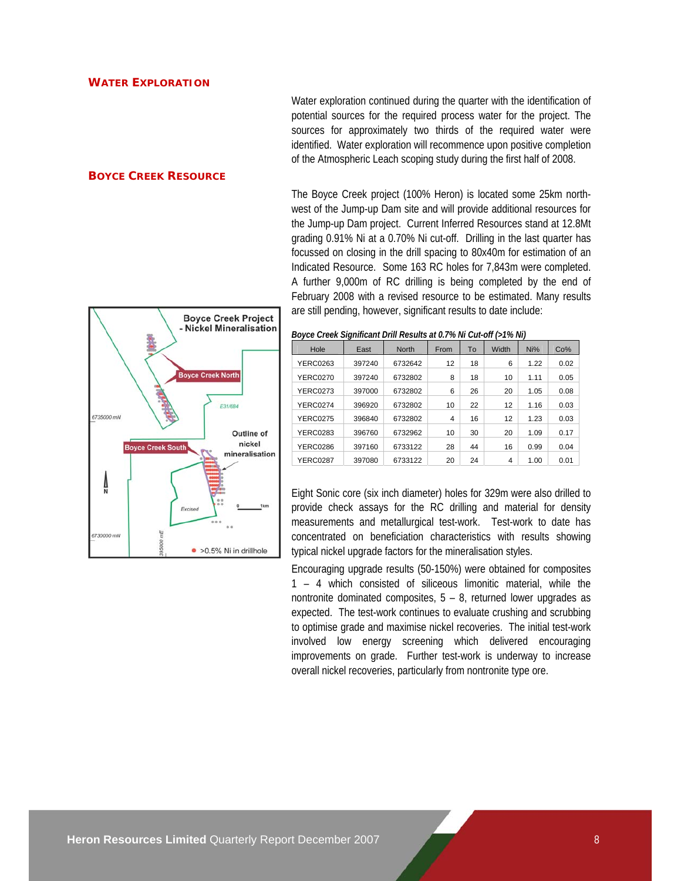#### **WATER EXPLORATION**

Water exploration continued during the quarter with the identification of potential sources for the required process water for the project. The sources for approximately two thirds of the required water were identified. Water exploration will recommence upon positive completion of the Atmospheric Leach scoping study during the first half of 2008.

The Boyce Creek project (100% Heron) is located some 25km northwest of the Jump-up Dam site and will provide additional resources for the Jump-up Dam project. Current Inferred Resources stand at 12.8Mt grading 0.91% Ni at a 0.70% Ni cut-off. Drilling in the last quarter has focussed on closing in the drill spacing to 80x40m for estimation of an Indicated Resource. Some 163 RC holes for 7,843m were completed. A further 9,000m of RC drilling is being completed by the end of February 2008 with a revised resource to be estimated. Many results

#### **BOYCE CREEK RESOURCE**

**Boyce Creek Project** - Nickel Mineralisation **ovce Creek Nort** E31/684 6735000 mN Outline of nickel ce Creek South mineralisation  $\frac{1}{2}$ 6730000 mN  $\bullet$  >0.5% Ni in drillhole

*Boyce Creek Significant Drill Results at 0.7% Ni Cut-off (>1% Ni)* 

are still pending, however, significant results to date include:

| Hole            | East   | <b>North</b> | From | To | Width | Ni%  | Co%  |
|-----------------|--------|--------------|------|----|-------|------|------|
| YERC0263        | 397240 | 6732642      | 12   | 18 | 6     | 1.22 | 0.02 |
| <b>YERC0270</b> | 397240 | 6732802      | 8    | 18 | 10    | 1.11 | 0.05 |
| <b>YERC0273</b> | 397000 | 6732802      | 6    | 26 | 20    | 1.05 | 0.08 |
| <b>YERC0274</b> | 396920 | 6732802      | 10   | 22 | 12    | 1.16 | 0.03 |
| <b>YERC0275</b> | 396840 | 6732802      | 4    | 16 | 12    | 1.23 | 0.03 |
| <b>YERC0283</b> | 396760 | 6732962      | 10   | 30 | 20    | 1.09 | 0.17 |
| <b>YERC0286</b> | 397160 | 6733122      | 28   | 44 | 16    | 0.99 | 0.04 |
| <b>YERC0287</b> | 397080 | 6733122      | 20   | 24 | 4     | 1.00 | 0.01 |

Eight Sonic core (six inch diameter) holes for 329m were also drilled to provide check assays for the RC drilling and material for density measurements and metallurgical test-work. Test-work to date has concentrated on beneficiation characteristics with results showing typical nickel upgrade factors for the mineralisation styles.

Encouraging upgrade results (50-150%) were obtained for composites 1 – 4 which consisted of siliceous limonitic material, while the nontronite dominated composites, 5 – 8, returned lower upgrades as expected. The test-work continues to evaluate crushing and scrubbing to optimise grade and maximise nickel recoveries. The initial test-work involved low energy screening which delivered encouraging improvements on grade. Further test-work is underway to increase overall nickel recoveries, particularly from nontronite type ore.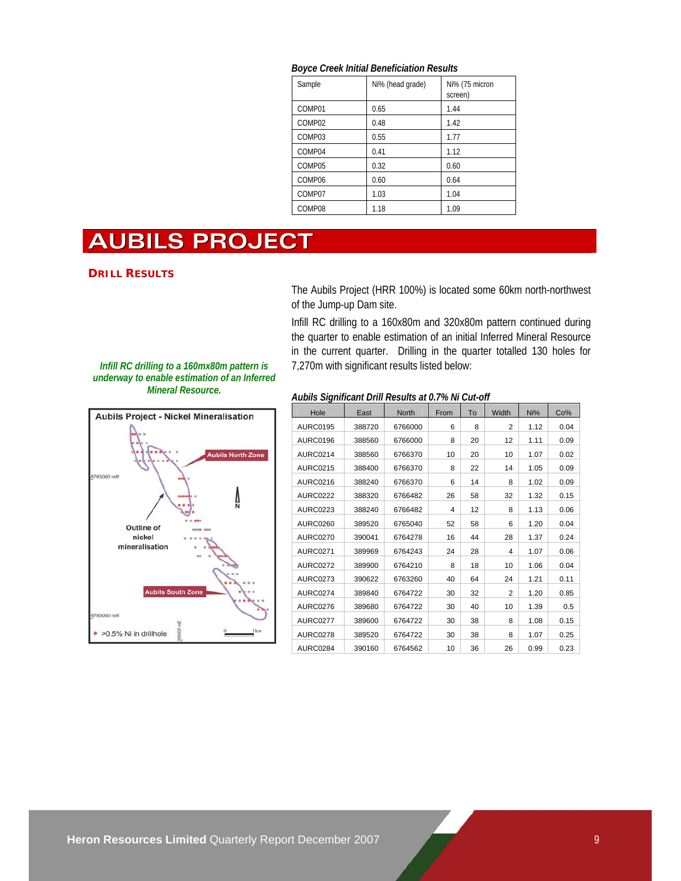#### *Boyce Creek Initial Beneficiation Results*

| Sample             | Ni% (head grade) | Ni% (75 micron<br>screen) |
|--------------------|------------------|---------------------------|
| COMP01             | 0.65             | 1.44                      |
| COMP <sub>02</sub> | 0.48             | 1.42                      |
| COMP <sub>03</sub> | 0.55             | 1.77                      |
| COMP <sub>04</sub> | 0.41             | 1.12                      |
| COMP05             | 0.32             | 0.60                      |
| COMP06             | 0.60             | 0.64                      |
| COMP07             | 1.03             | 1.04                      |
| COMP08             | 1.18             | 1.09                      |

# **AUBILS PROJECT**

#### **DRILL RESULTS**

The Aubils Project (HRR 100%) is located some 60km north-northwest of the Jump-up Dam site.

Infill RC drilling to a 160x80m and 320x80m pattern continued during the quarter to enable estimation of an initial Inferred Mineral Resource in the current quarter. Drilling in the quarter totalled 130 holes for 7,270m with significant results listed below:

*Infill RC drilling to a 160mx80m pattern is underway to enable estimation of an Inferred Mineral Resource.* 



*Aubils Significant Drill Results at 0.7% Ni Cut-off* 

| Hole            | East   | <b>North</b> | From | To | Width          | Ni%  | Co%  |
|-----------------|--------|--------------|------|----|----------------|------|------|
| AURC0195        | 388720 | 6766000      | 6    | 8  | $\overline{2}$ | 1.12 | 0.04 |
| <b>AURC0196</b> | 388560 | 6766000      | 8    | 20 | 12             | 1.11 | 0.09 |
| AURC0214        | 388560 | 6766370      | 10   | 20 | 10             | 1.07 | 0.02 |
| AURC0215        | 388400 | 6766370      | 8    | 22 | 14             | 1.05 | 0.09 |
| <b>AURC0216</b> | 388240 | 6766370      | 6    | 14 | 8              | 1.02 | 0.09 |
| <b>AURC0222</b> | 388320 | 6766482      | 26   | 58 | 32             | 1.32 | 0.15 |
| <b>AURC0223</b> | 388240 | 6766482      | 4    | 12 | 8              | 1.13 | 0.06 |
| AURC0260        | 389520 | 6765040      | 52   | 58 | 6              | 1.20 | 0.04 |
| <b>AURC0270</b> | 390041 | 6764278      | 16   | 44 | 28             | 1.37 | 0.24 |
| <b>AURC0271</b> | 389969 | 6764243      | 24   | 28 | 4              | 1.07 | 0.06 |
| <b>AURC0272</b> | 389900 | 6764210      | 8    | 18 | 10             | 1.06 | 0.04 |
| <b>AURC0273</b> | 390622 | 6763260      | 40   | 64 | 24             | 1.21 | 0.11 |
| <b>AURC0274</b> | 389840 | 6764722      | 30   | 32 | $\overline{2}$ | 1.20 | 0.85 |
| <b>AURC0276</b> | 389680 | 6764722      | 30   | 40 | 10             | 1.39 | 0.5  |
| AURC0277        | 389600 | 6764722      | 30   | 38 | 8              | 1.08 | 0.15 |
| <b>AURC0278</b> | 389520 | 6764722      | 30   | 38 | 8              | 1.07 | 0.25 |
| AURC0284        | 390160 | 6764562      | 10   | 36 | 26             | 0.99 | 0.23 |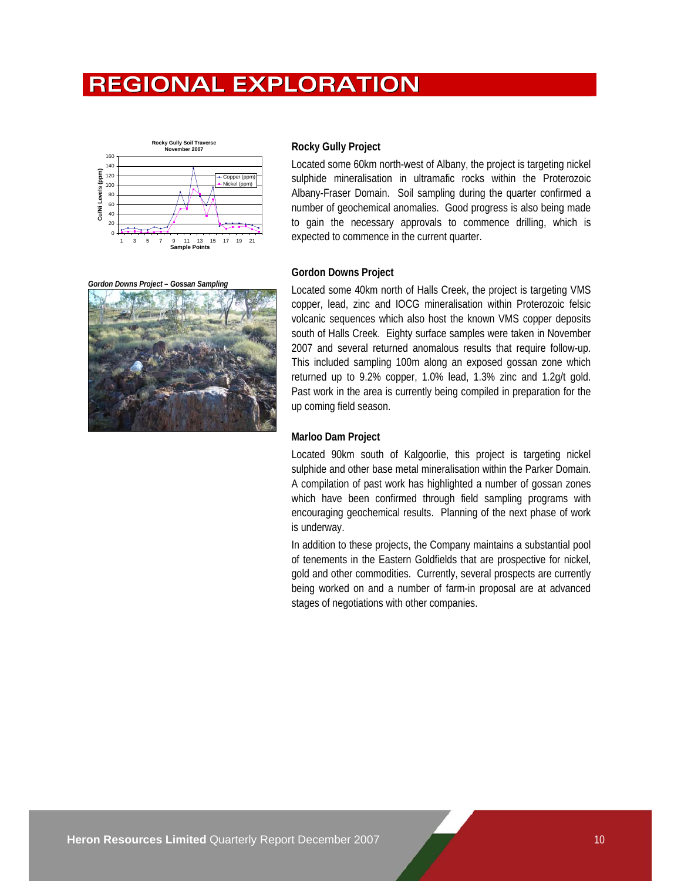# **REGIONAL EXPLORATION**



#### **Rocky Gully Project**

Located some 60km north-west of Albany, the project is targeting nickel sulphide mineralisation in ultramafic rocks within the Proterozoic Albany-Fraser Domain. Soil sampling during the quarter confirmed a number of geochemical anomalies. Good progress is also being made to gain the necessary approvals to commence drilling, which is expected to commence in the current quarter.

*Gordon Downs Project – Gossan Sampling* 



#### **Gordon Downs Project**

Located some 40km north of Halls Creek, the project is targeting VMS copper, lead, zinc and IOCG mineralisation within Proterozoic felsic volcanic sequences which also host the known VMS copper deposits south of Halls Creek. Eighty surface samples were taken in November 2007 and several returned anomalous results that require follow-up. This included sampling 100m along an exposed gossan zone which returned up to 9.2% copper, 1.0% lead, 1.3% zinc and 1.2g/t gold. Past work in the area is currently being compiled in preparation for the up coming field season.

## **Marloo Dam Project**

Located 90km south of Kalgoorlie, this project is targeting nickel sulphide and other base metal mineralisation within the Parker Domain. A compilation of past work has highlighted a number of gossan zones which have been confirmed through field sampling programs with encouraging geochemical results. Planning of the next phase of work is underway.

In addition to these projects, the Company maintains a substantial pool of tenements in the Eastern Goldfields that are prospective for nickel, gold and other commodities. Currently, several prospects are currently being worked on and a number of farm-in proposal are at advanced stages of negotiations with other companies.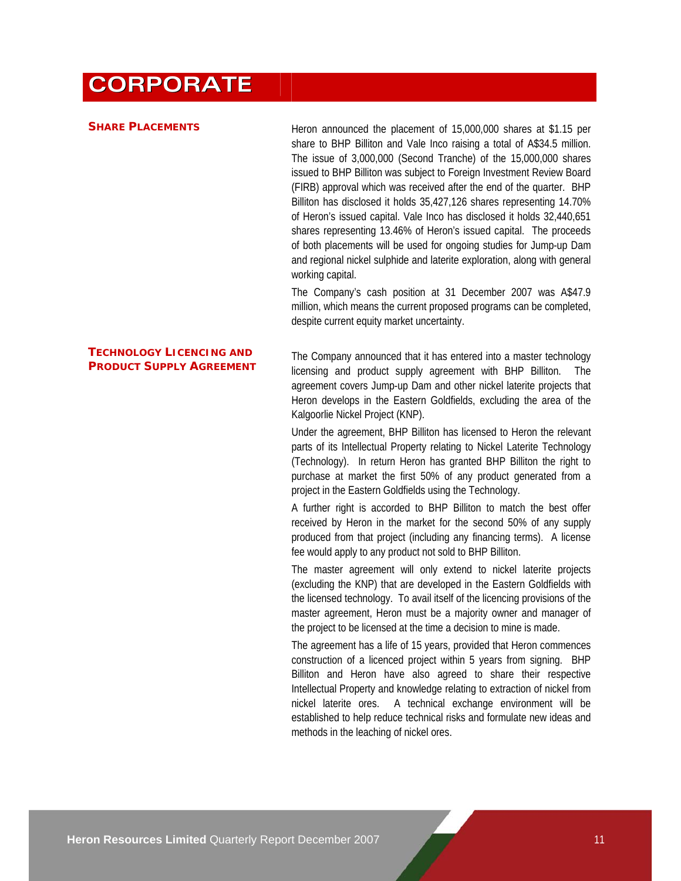# **CORPORATE**

#### **SHARE PLACEMENTS**

Heron announced the placement of 15,000,000 shares at \$1.15 per share to BHP Billiton and Vale Inco raising a total of A\$34.5 million. The issue of 3,000,000 (Second Tranche) of the 15,000,000 shares issued to BHP Billiton was subject to Foreign Investment Review Board (FIRB) approval which was received after the end of the quarter. BHP Billiton has disclosed it holds 35,427,126 shares representing 14.70% of Heron's issued capital. Vale Inco has disclosed it holds 32,440,651 shares representing 13.46% of Heron's issued capital. The proceeds of both placements will be used for ongoing studies for Jump-up Dam and regional nickel sulphide and laterite exploration, along with general working capital.

The Company's cash position at 31 December 2007 was A\$47.9 million, which means the current proposed programs can be completed, despite current equity market uncertainty.

# **TECHNOLOGY LICENCING AND PRODUCT SUPPLY AGREEMENT**

The Company announced that it has entered into a master technology licensing and product supply agreement with BHP Billiton. The agreement covers Jump-up Dam and other nickel laterite projects that Heron develops in the Eastern Goldfields, excluding the area of the Kalgoorlie Nickel Project (KNP).

Under the agreement, BHP Billiton has licensed to Heron the relevant parts of its Intellectual Property relating to Nickel Laterite Technology (Technology). In return Heron has granted BHP Billiton the right to purchase at market the first 50% of any product generated from a project in the Eastern Goldfields using the Technology.

A further right is accorded to BHP Billiton to match the best offer received by Heron in the market for the second 50% of any supply produced from that project (including any financing terms). A license fee would apply to any product not sold to BHP Billiton.

The master agreement will only extend to nickel laterite projects (excluding the KNP) that are developed in the Eastern Goldfields with the licensed technology. To avail itself of the licencing provisions of the master agreement, Heron must be a majority owner and manager of the project to be licensed at the time a decision to mine is made.

The agreement has a life of 15 years, provided that Heron commences construction of a licenced project within 5 years from signing. BHP Billiton and Heron have also agreed to share their respective Intellectual Property and knowledge relating to extraction of nickel from nickel laterite ores. A technical exchange environment will be established to help reduce technical risks and formulate new ideas and methods in the leaching of nickel ores.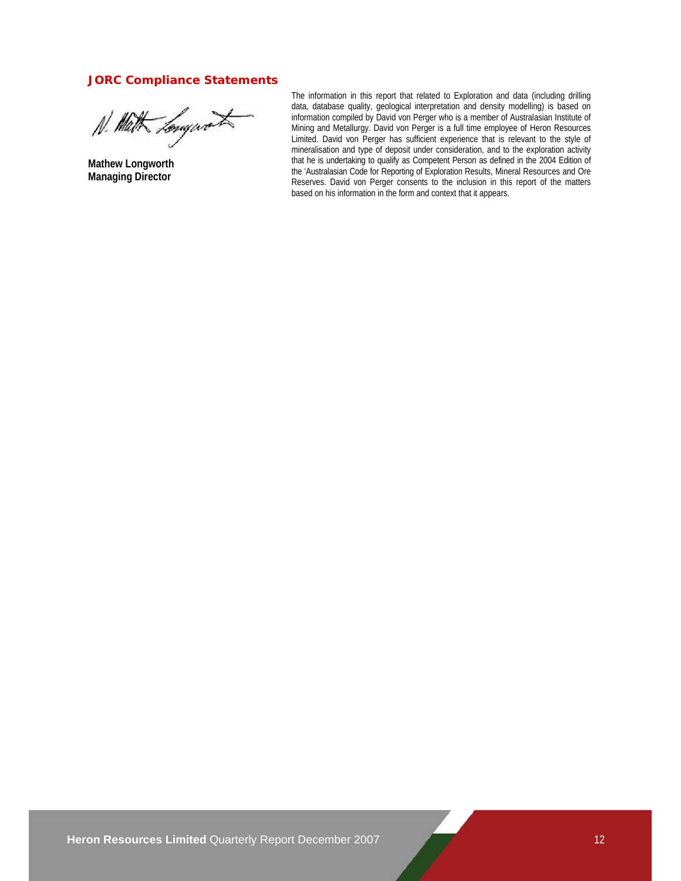# **JORC Compliance Statements**

N. Math Longwort

**Mathew Longworth Managing Director** 

The information in this report that related to Exploration and data (including drilling data, database quality, geological interpretation and density modelling) is based on information compiled by David von Perger who is a member of Australasian Institute of Mining and Metallurgy. David von Perger is a full time employee of Heron Resources Limited. David von Perger has sufficient experience that is relevant to the style of mineralisation and type of deposit under consideration, and to the exploration activity that he is undertaking to qualify as Competent Person as defined in the 2004 Edition of the 'Australasian Code for Reporting of Exploration Results, Mineral Resources and Ore Reserves. David von Perger consents to the inclusion in this report of the matters based on his information in the form and context that it appears.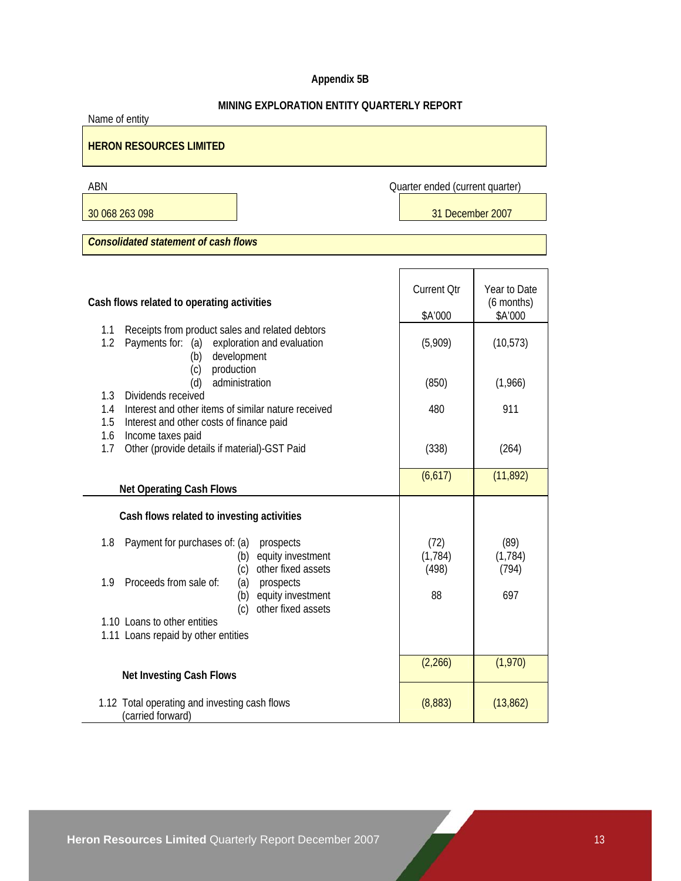# **Appendix 5B**

# **MINING EXPLORATION ENTITY QUARTERLY REPORT**

Name of entity

# **HERON RESOURCES LIMITED**

ABN Quarter ended (current quarter)

30 068 263 098 31 December 2007

*Consolidated statement of cash flows* 

| Cash flows related to operating activities                                                                                                 | <b>Current Qtr</b><br>\$A'000 | Year to Date<br>$(6$ months)<br>\$A'000 |
|--------------------------------------------------------------------------------------------------------------------------------------------|-------------------------------|-----------------------------------------|
| Receipts from product sales and related debtors<br>1.1<br>Payments for: (a)<br>1.2<br>exploration and evaluation<br>development<br>(b)     | (5,909)                       | (10, 573)                               |
| (c)<br>production<br>administration<br>(d)                                                                                                 | (850)                         | (1,966)                                 |
| Dividends received<br>1.3<br>Interest and other items of similar nature received<br>1.4<br>1.5<br>Interest and other costs of finance paid | 480                           | 911                                     |
| 1.6<br>Income taxes paid<br>Other (provide details if material)-GST Paid<br>1.7                                                            | (338)                         | (264)                                   |
| <b>Net Operating Cash Flows</b>                                                                                                            | (6,617)                       | (11, 892)                               |
| Cash flows related to investing activities                                                                                                 |                               |                                         |
| 1.8<br>Payment for purchases of: (a)<br>prospects<br>equity investment<br>(b)                                                              | (72)<br>(1, 784)              | (89)<br>(1, 784)                        |
| other fixed assets<br>(c)<br>Proceeds from sale of:<br>1.9<br>(a)<br>prospects<br>(b)<br>equity investment<br>other fixed assets<br>(c)    | (498)<br>88                   | (794)<br>697                            |
| 1.10 Loans to other entities<br>1.11 Loans repaid by other entities                                                                        |                               |                                         |
| <b>Net Investing Cash Flows</b>                                                                                                            | (2,266)                       | (1,970)                                 |
| 1.12 Total operating and investing cash flows<br>(carried forward)                                                                         | (8,883)                       | (13, 862)                               |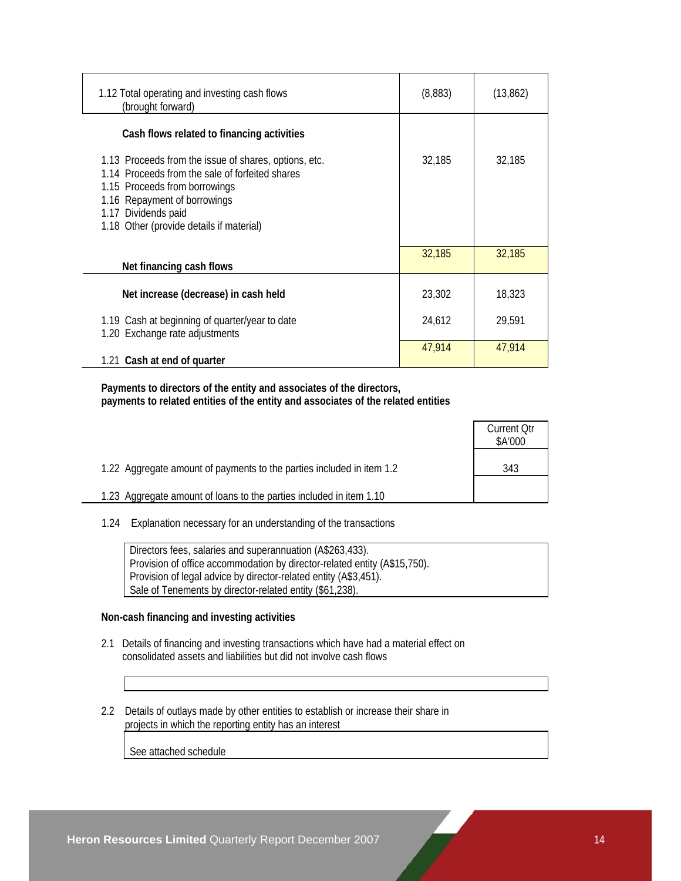| 1.12 Total operating and investing cash flows<br>(brought forward)                                                                                                                                                                           | (8,883) | (13, 862) |
|----------------------------------------------------------------------------------------------------------------------------------------------------------------------------------------------------------------------------------------------|---------|-----------|
| Cash flows related to financing activities                                                                                                                                                                                                   |         |           |
| 1.13 Proceeds from the issue of shares, options, etc.<br>1.14 Proceeds from the sale of forfeited shares<br>1.15 Proceeds from borrowings<br>1.16 Repayment of borrowings<br>1.17 Dividends paid<br>1.18 Other (provide details if material) | 32,185  | 32,185    |
| Net financing cash flows                                                                                                                                                                                                                     | 32,185  | 32,185    |
| Net increase (decrease) in cash held                                                                                                                                                                                                         | 23,302  | 18,323    |
| 1.19 Cash at beginning of quarter/year to date<br>1.20 Exchange rate adjustments                                                                                                                                                             | 24,612  | 29,591    |
| 1.21 Cash at end of quarter                                                                                                                                                                                                                  | 47,914  | 47,914    |

 **Payments to directors of the entity and associates of the directors, payments to related entities of the entity and associates of the related entities** 

|                                                                       | <b>Current Otr</b><br>\$A'000 |
|-----------------------------------------------------------------------|-------------------------------|
| 1.22 Aggregate amount of payments to the parties included in item 1.2 | 343                           |
| 1.23 Aggregate amount of loans to the parties included in item 1.10   |                               |

1.24 Explanation necessary for an understanding of the transactions

| Directors fees, salaries and superannuation (A\$263,433).                 |
|---------------------------------------------------------------------------|
| Provision of office accommodation by director-related entity (A\$15,750). |
| Provision of legal advice by director-related entity (A\$3,451).          |
| Sale of Tenements by director-related entity (\$61,238).                  |

# **Non-cash financing and investing activities**

- 2.1 Details of financing and investing transactions which have had a material effect on consolidated assets and liabilities but did not involve cash flows
- 2.2 Details of outlays made by other entities to establish or increase their share in projects in which the reporting entity has an interest

See attached schedule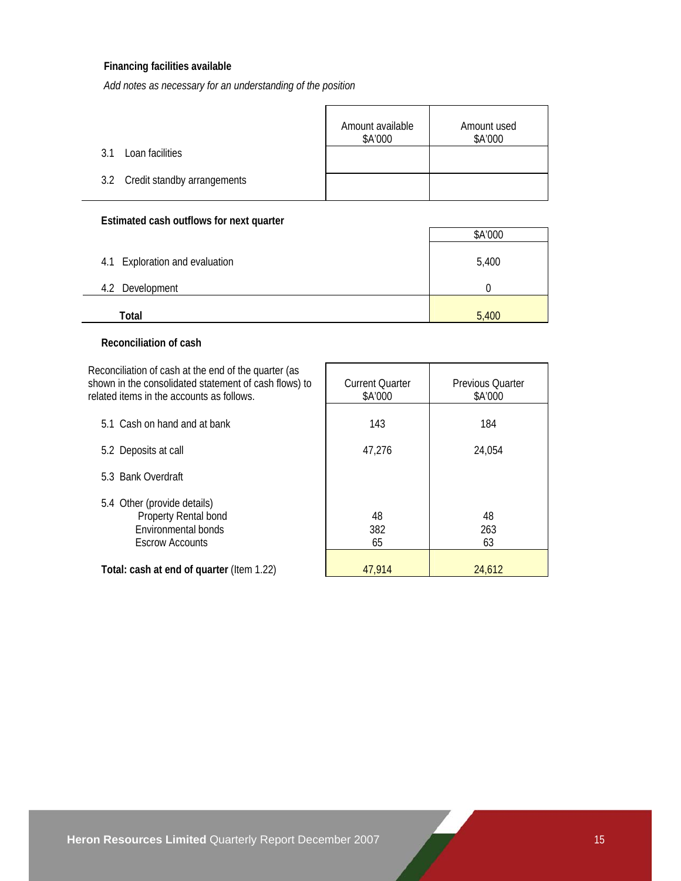# **Financing facilities available**

*Add notes as necessary for an understanding of the position*

|                                 | Amount available<br>\$A'000 | Amount used<br>\$A'000 |
|---------------------------------|-----------------------------|------------------------|
| Loan facilities<br>3.1          |                             |                        |
| 3.2 Credit standby arrangements |                             |                        |

# **Estimated cash outflows for next quarter**

|                                | \$A'000 |
|--------------------------------|---------|
| 4.1 Exploration and evaluation | 5,400   |
| Development<br>4.2             |         |
| Total                          | 5,400   |

# **Reconciliation of cash**

Reconciliation of cash at the end of the quarter (as shown in the consolidated statement of cash flows) to related items in the

| related items in the accounts as follows.                                                            | \$A'000         | \$A'000         |
|------------------------------------------------------------------------------------------------------|-----------------|-----------------|
| 5.1 Cash on hand and at bank                                                                         | 143             | 184             |
| 5.2 Deposits at call                                                                                 | 47,276          | 24,054          |
| 5.3 Bank Overdraft                                                                                   |                 |                 |
| 5.4 Other (provide details)<br>Property Rental bond<br>Environmental bonds<br><b>Escrow Accounts</b> | 48<br>382<br>65 | 48<br>263<br>63 |
| Total: cash at end of quarter (Item 1.22)                                                            | 47.914          | 24,612          |

Current Quarter

Previous Quarter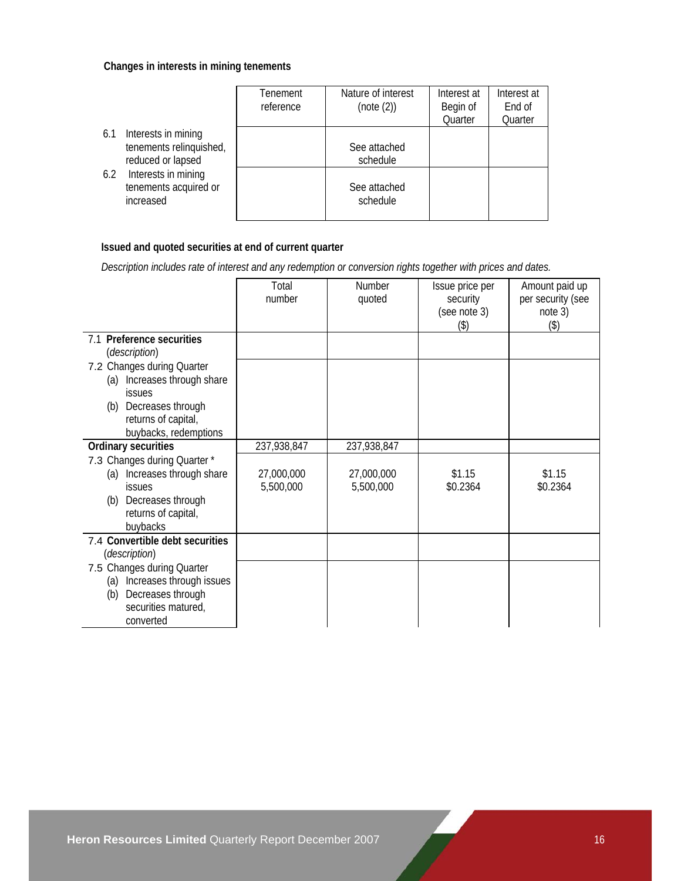# **Changes in interests in mining tenements**

|                                                                            | Tenement<br>reference | Nature of interest<br>(note (2)) | Interest at<br>Begin of<br>Quarter | Interest at<br>End of<br>Quarter |
|----------------------------------------------------------------------------|-----------------------|----------------------------------|------------------------------------|----------------------------------|
| Interests in mining<br>6.1<br>tenements relinquished,<br>reduced or lapsed |                       | See attached<br>schedule         |                                    |                                  |
| Interests in mining<br>6.2<br>tenements acquired or<br>increased           |                       | See attached<br>schedule         |                                    |                                  |

# **Issued and quoted securities at end of current quarter**

 *Description includes rate of interest and any redemption or conversion rights together with prices and dates.* 

|                                                                                                                                             | Total<br>number         | Number<br>quoted        | Issue price per<br>security<br>(see note 3) | Amount paid up<br>per security (see<br>note 3) |
|---------------------------------------------------------------------------------------------------------------------------------------------|-------------------------|-------------------------|---------------------------------------------|------------------------------------------------|
|                                                                                                                                             |                         |                         | (3)                                         | (3)                                            |
| 7.1 Preference securities<br>(description)                                                                                                  |                         |                         |                                             |                                                |
| 7.2 Changes during Quarter<br>(a) Increases through share<br><b>issues</b>                                                                  |                         |                         |                                             |                                                |
| (b) Decreases through                                                                                                                       |                         |                         |                                             |                                                |
| returns of capital,<br>buybacks, redemptions                                                                                                |                         |                         |                                             |                                                |
| Ordinary securities                                                                                                                         | 237,938,847             | 237,938,847             |                                             |                                                |
| 7.3 Changes during Quarter *<br>(a) Increases through share<br><b>issues</b><br>Decreases through<br>(b)<br>returns of capital,<br>buybacks | 27,000,000<br>5,500,000 | 27,000,000<br>5,500,000 | \$1.15<br>\$0.2364                          | \$1.15<br>\$0.2364                             |
| 7.4 Convertible debt securities<br>(description)                                                                                            |                         |                         |                                             |                                                |
| 7.5 Changes during Quarter<br>(a) Increases through issues<br>Decreases through<br>(b)<br>securities matured,<br>converted                  |                         |                         |                                             |                                                |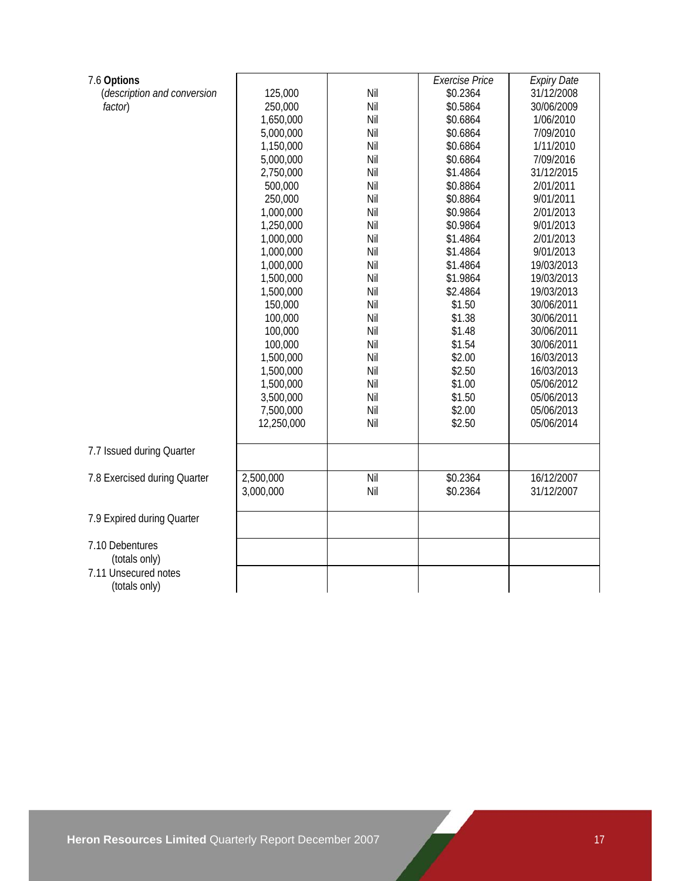| 7.6 Options                  |            |     | <b>Exercise Price</b> | <b>Expiry Date</b> |
|------------------------------|------------|-----|-----------------------|--------------------|
| (description and conversion  | 125,000    | Nil | \$0.2364              | 31/12/2008         |
| factor)                      | 250,000    | Nil | \$0.5864              | 30/06/2009         |
|                              | 1,650,000  | Nil | \$0.6864              | 1/06/2010          |
|                              | 5,000,000  | Nil | \$0.6864              | 7/09/2010          |
|                              | 1,150,000  | Nil | \$0.6864              | 1/11/2010          |
|                              | 5,000,000  | Nil | \$0.6864              | 7/09/2016          |
|                              | 2,750,000  | Nil | \$1.4864              | 31/12/2015         |
|                              | 500,000    | Nil | \$0.8864              | 2/01/2011          |
|                              | 250,000    | Nil | \$0.8864              | 9/01/2011          |
|                              | 1,000,000  | Nil | \$0.9864              | 2/01/2013          |
|                              | 1,250,000  | Nil | \$0.9864              | 9/01/2013          |
|                              | 1,000,000  | Nil | \$1.4864              | 2/01/2013          |
|                              | 1,000,000  | Nil | \$1.4864              | 9/01/2013          |
|                              | 1,000,000  | Nil | \$1.4864              | 19/03/2013         |
|                              | 1,500,000  | Nil | \$1.9864              | 19/03/2013         |
|                              | 1,500,000  | Nil | \$2.4864              | 19/03/2013         |
|                              | 150,000    | Nil | \$1.50                | 30/06/2011         |
|                              | 100,000    | Nil | \$1.38                | 30/06/2011         |
|                              | 100,000    | Nil | \$1.48                | 30/06/2011         |
|                              | 100,000    | Nil | \$1.54                | 30/06/2011         |
|                              | 1,500,000  | Nil | \$2.00                | 16/03/2013         |
|                              | 1,500,000  | Nil | \$2.50                | 16/03/2013         |
|                              | 1,500,000  | Nil | \$1.00                | 05/06/2012         |
|                              | 3,500,000  | Nil | \$1.50                | 05/06/2013         |
|                              | 7,500,000  | Nil | \$2.00                | 05/06/2013         |
|                              | 12,250,000 | Nil | \$2.50                | 05/06/2014         |
|                              |            |     |                       |                    |
| 7.7 Issued during Quarter    |            |     |                       |                    |
| 7.8 Exercised during Quarter | 2,500,000  | Nil | \$0.2364              | 16/12/2007         |
|                              | 3,000,000  | Nil | \$0.2364              | 31/12/2007         |
|                              |            |     |                       |                    |
| 7.9 Expired during Quarter   |            |     |                       |                    |
| 7.10 Debentures              |            |     |                       |                    |
| (totals only)                |            |     |                       |                    |
| 7.11 Unsecured notes         |            |     |                       |                    |
| (totals only)                |            |     |                       |                    |
|                              |            |     |                       |                    |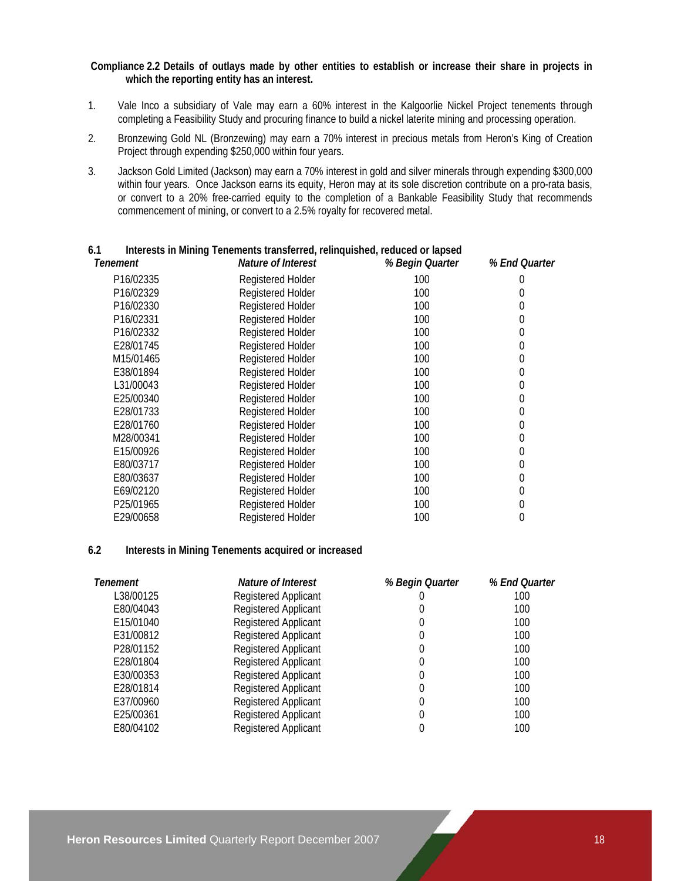### **Compliance 2.2 Details of outlays made by other entities to establish or increase their share in projects in which the reporting entity has an interest.**

- 1. Vale Inco a subsidiary of Vale may earn a 60% interest in the Kalgoorlie Nickel Project tenements through completing a Feasibility Study and procuring finance to build a nickel laterite mining and processing operation.
- 2. Bronzewing Gold NL (Bronzewing) may earn a 70% interest in precious metals from Heron's King of Creation Project through expending \$250,000 within four years.
- 3. Jackson Gold Limited (Jackson) may earn a 70% interest in gold and silver minerals through expending \$300,000 within four years. Once Jackson earns its equity, Heron may at its sole discretion contribute on a pro-rata basis, or convert to a 20% free-carried equity to the completion of a Bankable Feasibility Study that recommends commencement of mining, or convert to a 2.5% royalty for recovered metal.

| Tenement  | Nature of Interest       | % Begin Quarter | % End Quarter |
|-----------|--------------------------|-----------------|---------------|
| P16/02335 | Registered Holder        | 100             |               |
| P16/02329 | Registered Holder        | 100             |               |
| P16/02330 | Registered Holder        | 100             | 0             |
| P16/02331 | <b>Registered Holder</b> | 100             | 0             |
| P16/02332 | Registered Holder        | 100             | 0             |
| E28/01745 | <b>Registered Holder</b> | 100             | 0             |
| M15/01465 | <b>Registered Holder</b> | 100             | 0             |
| E38/01894 | Registered Holder        | 100             | 0             |
| L31/00043 | <b>Registered Holder</b> | 100             | 0             |
| E25/00340 | Registered Holder        | 100             | 0             |
| E28/01733 | <b>Registered Holder</b> | 100             | 0             |
| E28/01760 | Registered Holder        | 100             | 0             |
| M28/00341 | <b>Registered Holder</b> | 100             | 0             |
| E15/00926 | <b>Registered Holder</b> | 100             | 0             |
| E80/03717 | Registered Holder        | 100             | 0             |
| E80/03637 | <b>Registered Holder</b> | 100             | 0             |
| E69/02120 | Registered Holder        | 100             | 0             |
| P25/01965 | <b>Registered Holder</b> | 100             | 0             |
| E29/00658 | <b>Registered Holder</b> | 100             | 0             |

#### **6.1 Interests in Mining Tenements transferred, relinquished, reduced or lapsed**

# **6.2 Interests in Mining Tenements acquired or increased**

| Tenement  | Nature of Interest          | % Begin Quarter | % End Quarter |
|-----------|-----------------------------|-----------------|---------------|
| L38/00125 | <b>Registered Applicant</b> |                 | 100           |
| E80/04043 | <b>Registered Applicant</b> |                 | 100           |
| E15/01040 | <b>Registered Applicant</b> | 0               | 100           |
| E31/00812 | <b>Registered Applicant</b> | $\theta$        | 100           |
| P28/01152 | Registered Applicant        | 0               | 100           |
| E28/01804 | <b>Registered Applicant</b> |                 | 100           |
| E30/00353 | Registered Applicant        |                 | 100           |
| E28/01814 | <b>Registered Applicant</b> |                 | 100           |
| E37/00960 | <b>Registered Applicant</b> | 0               | 100           |
| E25/00361 | Registered Applicant        |                 | 100           |
| E80/04102 | <b>Registered Applicant</b> |                 | 100           |